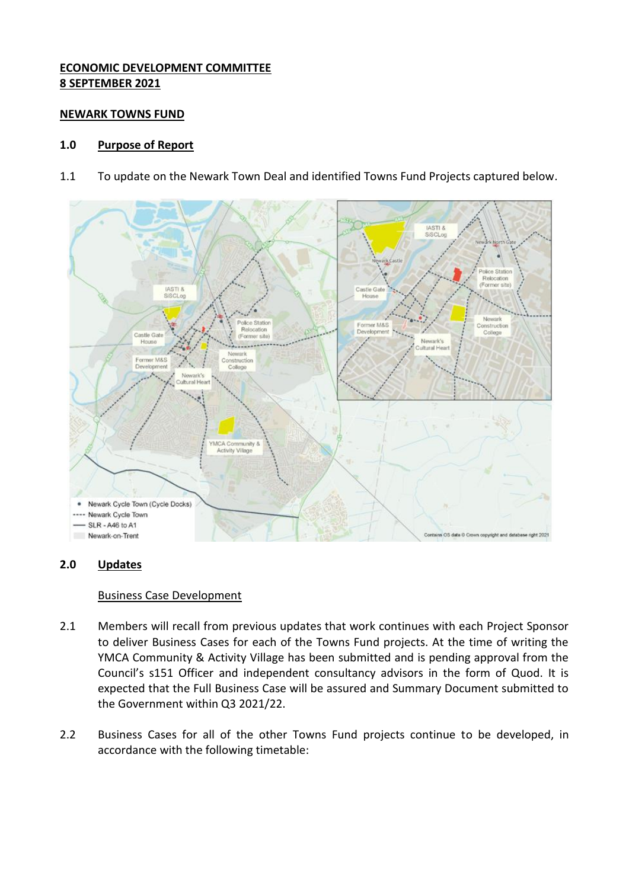# **ECONOMIC DEVELOPMENT COMMITTEE 8 SEPTEMBER 2021**

### **NEWARK TOWNS FUND**

## **1.0 Purpose of Report**

1.1 To update on the Newark Town Deal and identified Towns Fund Projects captured below.



# **2.0 Updates**

#### Business Case Development

- 2.1 Members will recall from previous updates that work continues with each Project Sponsor to deliver Business Cases for each of the Towns Fund projects. At the time of writing the YMCA Community & Activity Village has been submitted and is pending approval from the Council's s151 Officer and independent consultancy advisors in the form of Quod. It is expected that the Full Business Case will be assured and Summary Document submitted to the Government within Q3 2021/22.
- 2.2 Business Cases for all of the other Towns Fund projects continue to be developed, in accordance with the following timetable: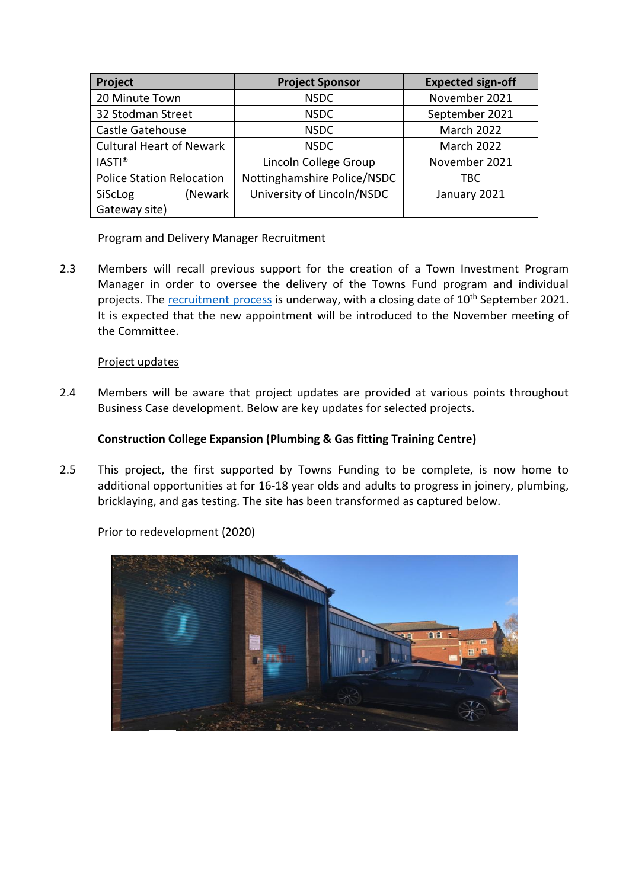| Project                          | <b>Project Sponsor</b>      | <b>Expected sign-off</b> |
|----------------------------------|-----------------------------|--------------------------|
| 20 Minute Town                   | <b>NSDC</b>                 | November 2021            |
| 32 Stodman Street                | <b>NSDC</b>                 | September 2021           |
| Castle Gatehouse                 | <b>NSDC</b>                 | <b>March 2022</b>        |
| <b>Cultural Heart of Newark</b>  | <b>NSDC</b>                 | March 2022               |
| <b>IASTI®</b>                    | Lincoln College Group       | November 2021            |
| <b>Police Station Relocation</b> | Nottinghamshire Police/NSDC | TBC                      |
| SiScLog<br>(Newark               | University of Lincoln/NSDC  | January 2021             |
| Gateway site)                    |                             |                          |

# Program and Delivery Manager Recruitment

2.3 Members will recall previous support for the creation of a Town Investment Program Manager in order to oversee the delivery of the Towns Fund program and individual projects. The [recruitment process](https://www.youtube.com/watch?v=dp_eZE7KnOE) is underway, with a closing date of 10<sup>th</sup> September 2021. It is expected that the new appointment will be introduced to the November meeting of the Committee.

# Project updates

2.4 Members will be aware that project updates are provided at various points throughout Business Case development. Below are key updates for selected projects.

# **Construction College Expansion (Plumbing & Gas fitting Training Centre)**

2.5 This project, the first supported by Towns Funding to be complete, is now home to additional opportunities at for 16-18 year olds and adults to progress in joinery, plumbing, bricklaying, and gas testing. The site has been transformed as captured below.



Prior to redevelopment (2020)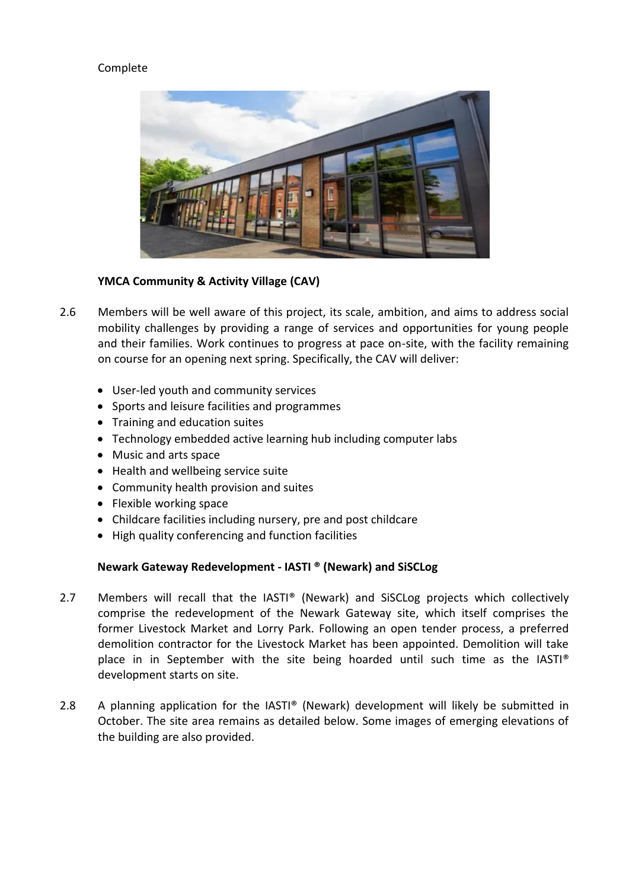# Complete



## **YMCA Community & Activity Village (CAV)**

- 2.6 Members will be well aware of this project, its scale, ambition, and aims to address social mobility challenges by providing a range of services and opportunities for young people and their families. Work continues to progress at pace on-site, with the facility remaining on course for an opening next spring. Specifically, the CAV will deliver:
	- User-led youth and community services
	- Sports and leisure facilities and programmes
	- Training and education suites
	- Technology embedded active learning hub including computer labs
	- Music and arts space
	- Health and wellbeing service suite
	- Community health provision and suites
	- Flexible working space
	- Childcare facilities including nursery, pre and post childcare
	- High quality conferencing and function facilities

#### **Newark Gateway Redevelopment - IASTI ® (Newark) and SiSCLog**

- 2.7 Members will recall that the IASTI® (Newark) and SiSCLog projects which collectively comprise the redevelopment of the Newark Gateway site, which itself comprises the former Livestock Market and Lorry Park. Following an open tender process, a preferred demolition contractor for the Livestock Market has been appointed. Demolition will take place in in September with the site being hoarded until such time as the IASTI® development starts on site.
- 2.8 A planning application for the IASTI® (Newark) development will likely be submitted in October. The site area remains as detailed below. Some images of emerging elevations of the building are also provided.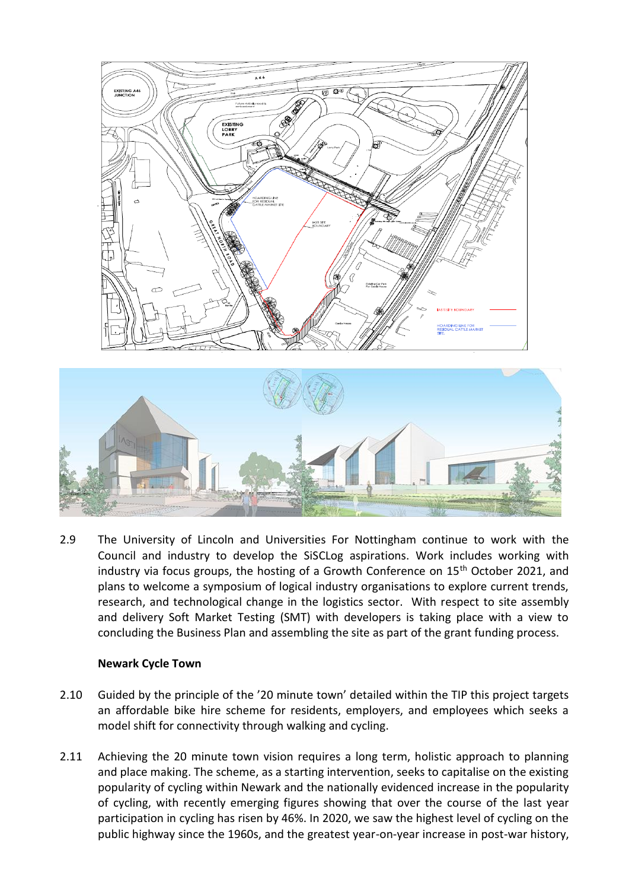

2.9 The University of Lincoln and Universities For Nottingham continue to work with the Council and industry to develop the SiSCLog aspirations. Work includes working with industry via focus groups, the hosting of a Growth Conference on  $15<sup>th</sup>$  October 2021, and plans to welcome a symposium of logical industry organisations to explore current trends, research, and technological change in the logistics sector. With respect to site assembly and delivery Soft Market Testing (SMT) with developers is taking place with a view to concluding the Business Plan and assembling the site as part of the grant funding process.

#### **Newark Cycle Town**

- 2.10 Guided by the principle of the '20 minute town' detailed within the TIP this project targets an affordable bike hire scheme for residents, employers, and employees which seeks a model shift for connectivity through walking and cycling.
- 2.11 Achieving the 20 minute town vision requires a long term, holistic approach to planning and place making. The scheme, as a starting intervention, seeks to capitalise on the existing popularity of cycling within Newark and the nationally evidenced increase in the popularity of cycling, with recently emerging figures showing that over the course of the last year participation in cycling has risen by 46%. In 2020, we saw the highest level of cycling on the public highway since the 1960s, and the greatest year-on-year increase in post-war history,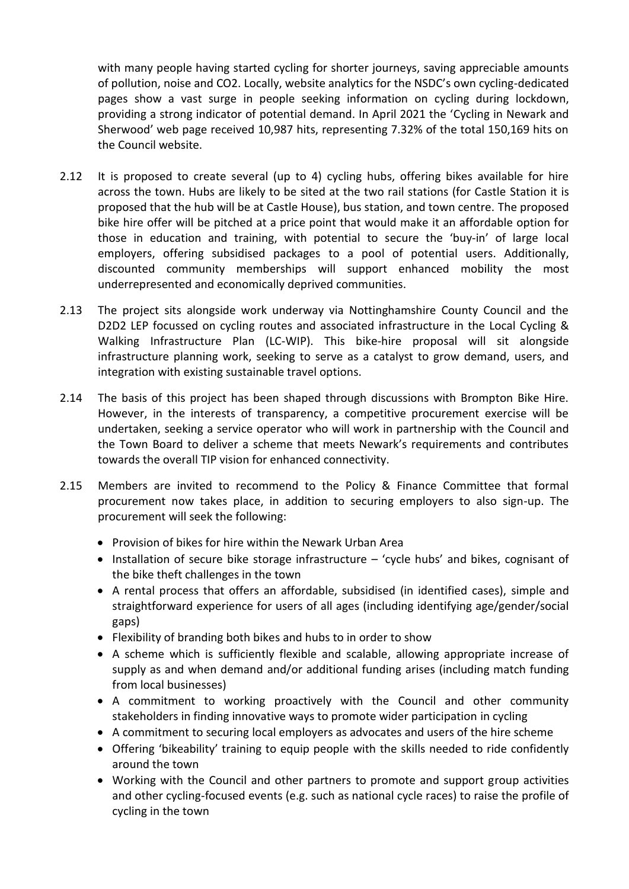with many people having started cycling for shorter journeys, saving appreciable amounts of pollution, noise and CO2. Locally, website analytics for the NSDC's own cycling-dedicated pages show a vast surge in people seeking information on cycling during lockdown, providing a strong indicator of potential demand. In April 2021 the 'Cycling in Newark and Sherwood' web page received 10,987 hits, representing 7.32% of the total 150,169 hits on the Council website.

- 2.12 It is proposed to create several (up to 4) cycling hubs, offering bikes available for hire across the town. Hubs are likely to be sited at the two rail stations (for Castle Station it is proposed that the hub will be at Castle House), bus station, and town centre. The proposed bike hire offer will be pitched at a price point that would make it an affordable option for those in education and training, with potential to secure the 'buy-in' of large local employers, offering subsidised packages to a pool of potential users. Additionally, discounted community memberships will support enhanced mobility the most underrepresented and economically deprived communities.
- 2.13 The project sits alongside work underway via Nottinghamshire County Council and the D2D2 LEP focussed on cycling routes and associated infrastructure in the Local Cycling & Walking Infrastructure Plan (LC-WIP). This bike-hire proposal will sit alongside infrastructure planning work, seeking to serve as a catalyst to grow demand, users, and integration with existing sustainable travel options.
- 2.14 The basis of this project has been shaped through discussions with Brompton Bike Hire. However, in the interests of transparency, a competitive procurement exercise will be undertaken, seeking a service operator who will work in partnership with the Council and the Town Board to deliver a scheme that meets Newark's requirements and contributes towards the overall TIP vision for enhanced connectivity.
- 2.15 Members are invited to recommend to the Policy & Finance Committee that formal procurement now takes place, in addition to securing employers to also sign-up. The procurement will seek the following:
	- Provision of bikes for hire within the Newark Urban Area
	- Installation of secure bike storage infrastructure 'cycle hubs' and bikes, cognisant of the bike theft challenges in the town
	- A rental process that offers an affordable, subsidised (in identified cases), simple and straightforward experience for users of all ages (including identifying age/gender/social gaps)
	- Flexibility of branding both bikes and hubs to in order to show
	- A scheme which is sufficiently flexible and scalable, allowing appropriate increase of supply as and when demand and/or additional funding arises (including match funding from local businesses)
	- A commitment to working proactively with the Council and other community stakeholders in finding innovative ways to promote wider participation in cycling
	- A commitment to securing local employers as advocates and users of the hire scheme
	- Offering 'bikeability' training to equip people with the skills needed to ride confidently around the town
	- Working with the Council and other partners to promote and support group activities and other cycling-focused events (e.g. such as national cycle races) to raise the profile of cycling in the town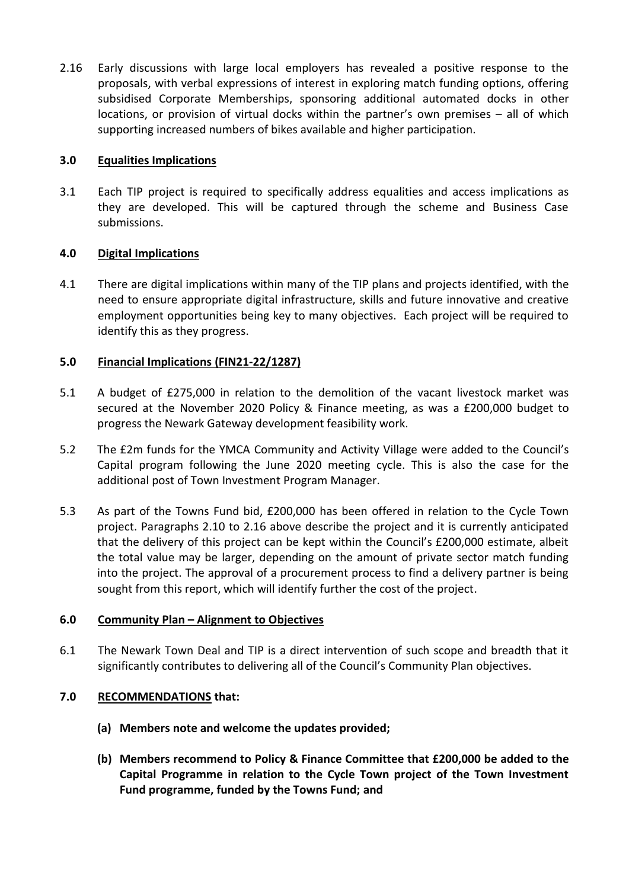2.16 Early discussions with large local employers has revealed a positive response to the proposals, with verbal expressions of interest in exploring match funding options, offering subsidised Corporate Memberships, sponsoring additional automated docks in other locations, or provision of virtual docks within the partner's own premises – all of which supporting increased numbers of bikes available and higher participation.

### **3.0 Equalities Implications**

3.1 Each TIP project is required to specifically address equalities and access implications as they are developed. This will be captured through the scheme and Business Case submissions.

# **4.0 Digital Implications**

4.1 There are digital implications within many of the TIP plans and projects identified, with the need to ensure appropriate digital infrastructure, skills and future innovative and creative employment opportunities being key to many objectives. Each project will be required to identify this as they progress.

## **5.0 Financial Implications (FIN21-22/1287)**

- 5.1 A budget of £275,000 in relation to the demolition of the vacant livestock market was secured at the November 2020 Policy & Finance meeting, as was a £200,000 budget to progress the Newark Gateway development feasibility work.
- 5.2 The £2m funds for the YMCA Community and Activity Village were added to the Council's Capital program following the June 2020 meeting cycle. This is also the case for the additional post of Town Investment Program Manager.
- 5.3 As part of the Towns Fund bid, £200,000 has been offered in relation to the Cycle Town project. Paragraphs 2.10 to 2.16 above describe the project and it is currently anticipated that the delivery of this project can be kept within the Council's £200,000 estimate, albeit the total value may be larger, depending on the amount of private sector match funding into the project. The approval of a procurement process to find a delivery partner is being sought from this report, which will identify further the cost of the project.

#### **6.0 Community Plan – Alignment to Objectives**

6.1 The Newark Town Deal and TIP is a direct intervention of such scope and breadth that it significantly contributes to delivering all of the Council's Community Plan objectives.

# **7.0 RECOMMENDATIONS that:**

- **(a) Members note and welcome the updates provided;**
- **(b) Members recommend to Policy & Finance Committee that £200,000 be added to the Capital Programme in relation to the Cycle Town project of the Town Investment Fund programme, funded by the Towns Fund; and**